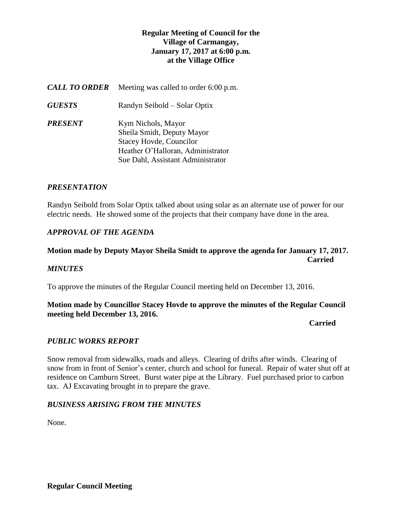## **Regular Meeting of Council for the Village of Carmangay, January 17, 2017 at 6:00 p.m. at the Village Office**

| <b>CALL TO ORDER</b> | Meeting was called to order 6:00 p.m.                                                                                                                        |
|----------------------|--------------------------------------------------------------------------------------------------------------------------------------------------------------|
| <b>GUESTS</b>        | Randyn Seibold – Solar Optix                                                                                                                                 |
| PRESENT              | Kym Nichols, Mayor<br>Sheila Smidt, Deputy Mayor<br><b>Stacey Hovde, Councilor</b><br>Heather O'Halloran, Administrator<br>Sue Dahl, Assistant Administrator |

## *PRESENTATION*

Randyn Seibold from Solar Optix talked about using solar as an alternate use of power for our electric needs. He showed some of the projects that their company have done in the area.

## *APPROVAL OF THE AGENDA*

# **Motion made by Deputy Mayor Sheila Smidt to approve the agenda for January 17, 2017. Carried**

### *MINUTES*

To approve the minutes of the Regular Council meeting held on December 13, 2016.

## **Motion made by Councillor Stacey Hovde to approve the minutes of the Regular Council meeting held December 13, 2016.**

#### *Carried*

### *PUBLIC WORKS REPORT*

Snow removal from sidewalks, roads and alleys. Clearing of drifts after winds. Clearing of snow from in front of Senior's center, church and school for funeral. Repair of water shut off at residence on Camburn Street. Burst water pipe at the Library. Fuel purchased prior to carbon tax. AJ Excavating brought in to prepare the grave.

### *BUSINESS ARISING FROM THE MINUTES*

None.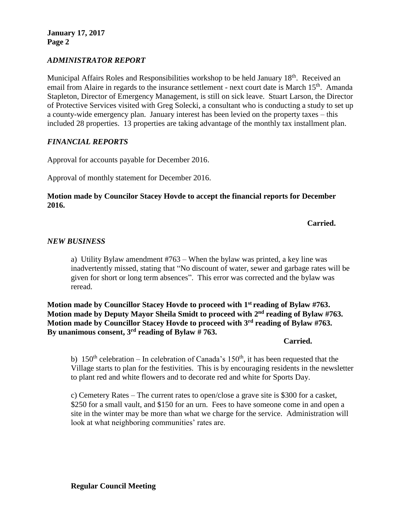**January 17, 2017 Page 2**

## *ADMINISTRATOR REPORT*

Municipal Affairs Roles and Responsibilities workshop to be held January 18<sup>th</sup>. Received an email from Alaire in regards to the insurance settlement - next court date is March 15<sup>th</sup>. Amanda Stapleton, Director of Emergency Management, is still on sick leave. Stuart Larson, the Director of Protective Services visited with Greg Solecki, a consultant who is conducting a study to set up a county-wide emergency plan. January interest has been levied on the property taxes – this included 28 properties. 13 properties are taking advantage of the monthly tax installment plan.

### *FINANCIAL REPORTS*

Approval for accounts payable for December 2016.

Approval of monthly statement for December 2016.

### **Motion made by Councilor Stacey Hovde to accept the financial reports for December 2016.**

**Carried.**

### *NEW BUSINESS*

a) Utility Bylaw amendment #763 – When the bylaw was printed, a key line was inadvertently missed, stating that "No discount of water, sewer and garbage rates will be given for short or long term absences". This error was corrected and the bylaw was reread.

**Motion made by Councillor Stacey Hovde to proceed with 1st reading of Bylaw #763.** Motion made by Deputy Mayor Sheila Smidt to proceed with 2<sup>nd</sup> reading of Bylaw #763. **Motion made by Councillor Stacey Hovde to proceed with 3rd reading of Bylaw #763.** By unanimous consent,  $3^{rd}$  reading of Bylaw  $\frac{4}{r}$  763.

#### **Carried.**

b)  $150<sup>th</sup>$  celebration – In celebration of Canada's  $150<sup>th</sup>$ , it has been requested that the Village starts to plan for the festivities. This is by encouraging residents in the newsletter to plant red and white flowers and to decorate red and white for Sports Day.

c) Cemetery Rates – The current rates to open/close a grave site is \$300 for a casket, \$250 for a small vault, and \$150 for an urn. Fees to have someone come in and open a site in the winter may be more than what we charge for the service. Administration will look at what neighboring communities' rates are.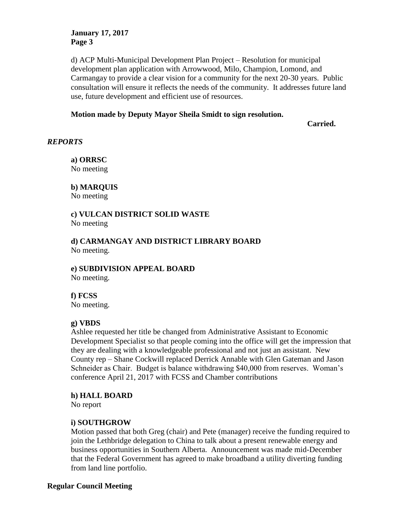### **January 17, 2017 Page 3**

d) ACP Multi-Municipal Development Plan Project – Resolution for municipal development plan application with Arrowwood, Milo, Champion, Lomond, and Carmangay to provide a clear vision for a community for the next 20-30 years. Public consultation will ensure it reflects the needs of the community. It addresses future land use, future development and efficient use of resources.

## **Motion made by Deputy Mayor Sheila Smidt to sign resolution.**

**Carried.**

### *REPORTS*

**a) ORRSC** No meeting

**b) MARQUIS** No meeting

#### **c) VULCAN DISTRICT SOLID WASTE**  No meeting

**d) CARMANGAY AND DISTRICT LIBRARY BOARD** No meeting.

**e) SUBDIVISION APPEAL BOARD** No meeting.

## **f) FCSS**

No meeting.

### **g) VBDS**

Ashlee requested her title be changed from Administrative Assistant to Economic Development Specialist so that people coming into the office will get the impression that they are dealing with a knowledgeable professional and not just an assistant. New County rep – Shane Cockwill replaced Derrick Annable with Glen Gateman and Jason Schneider as Chair. Budget is balance withdrawing \$40,000 from reserves. Woman's conference April 21, 2017 with FCSS and Chamber contributions

### **h) HALL BOARD**

No report

### **i) SOUTHGROW**

Motion passed that both Greg (chair) and Pete (manager) receive the funding required to join the Lethbridge delegation to China to talk about a present renewable energy and business opportunities in Southern Alberta. Announcement was made mid-December that the Federal Government has agreed to make broadband a utility diverting funding from land line portfolio.

### **Regular Council Meeting**